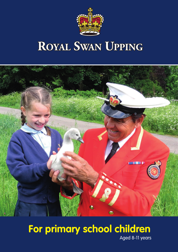

# **ROYAL SWAN UPPING**



#### **For primary school children** Aged 8-11 years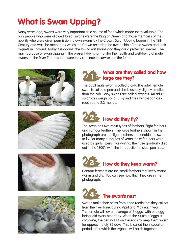#### **What is Swan Upping?**

Many years ago, swans were very important as a source of food which made them valuable. The only people who were allowed to eat swans were the King or Queen and those members of the nobility who were given permission to own swans by the Crown. Swan Upping began in the 12th Century and was the method by which the Crown recorded the ownership of mute swans and their cygnets in England. Today it is against the law to eat swans and they are a protected species. The main purpose of Swan Upping in the present day is to monitor the health and well-being of mute swans on the River Thames to ensure they continue to survive into the future.









#### <sup>1</sup> **What are they called and how large are they?**

The adult male swan is called a cob. The adult female swan is called a pen and she is usually slightly smaller than the cob. Baby swans are called cygnets. An adult swan can weigh up to 15 kg and their wing-span can reach up to 2.3 metres.

## 2 **How do they fly?**

The swan has two main types of feathers; flight feathers and contour feathers. The large feathers shown in the photograph are the flight feathers that enable the swan to fly. For many hundreds of years these feathers were used as quills, (pens), for writing; their use gradually died out in the 1800's with the introduction of steel pen nibs.

#### 3 **How do they keep warm?**

Contour feathers are the small feathers that keep swans warm and dry. You can see how thick they are in the photograph.

#### 4 **The swan's nest**

Swans make their nests from dried reeds that they collect from the river bank during April and May each year. The female will lay an average of 6 eggs, with one egg being laid every other day. When the clutch of eggs is complete, the pen will sit on the eggs to keep them warm for approximately 35 days. This is called the incubation period, after which the cygnets will hatch together.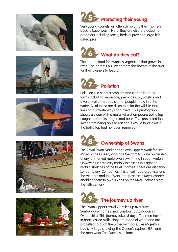











Very young cygnets will often climb onto their mother's back to keep warm. Here, they are also protected from predators including foxes, birds of prey and large fish called pike.

## **Combined What do they eat?**

The natural food for swans is vegetation that grows in the river. The parents pull weed from the bottom of the river for their cvanets to feed on.

# 7 **Pollution**

Pollution is a serious problem and comes in many forms including sewerage, pesticides, oil, plastics and a variety of other rubbish that people throw into the water. All of these are disastrous for the wildlife that lives on our waterways and rivers. This photograph shows a swan with a metal wire champagne bottle top caught around its tongue and beak. This prevented the swan from being able to eat and it would have died if the bottle top had not been removed.

### **B** Ownership of Swans

The Royal Swan Marker and Swan Uppers work for Her Majesty The Queen, who has the right to claim ownership of any unmarked mute swan swimming in open waters. However, Her Majesty mainly exercises this right on certain stretches of the River Thames. There are also two London Livery Companies, (historical trade organisations), the Vintners and the Dyers, that possess a Royal charter enabling them to own swans on the River Thames since the 15th century.

## **Figure** The journey up river

The Swan Uppers travel 79 miles up river from Sunbury-on-Thames near London, to Abingdon in Oxfordshire. This journey takes 5 days. The men travel in boats called skiffs; they are made of wood and are propelled through the water with oars. Her Majesty's boats fly flags showing The Queen's cypher, (EIIR), and the men wear The Queen's uniform.